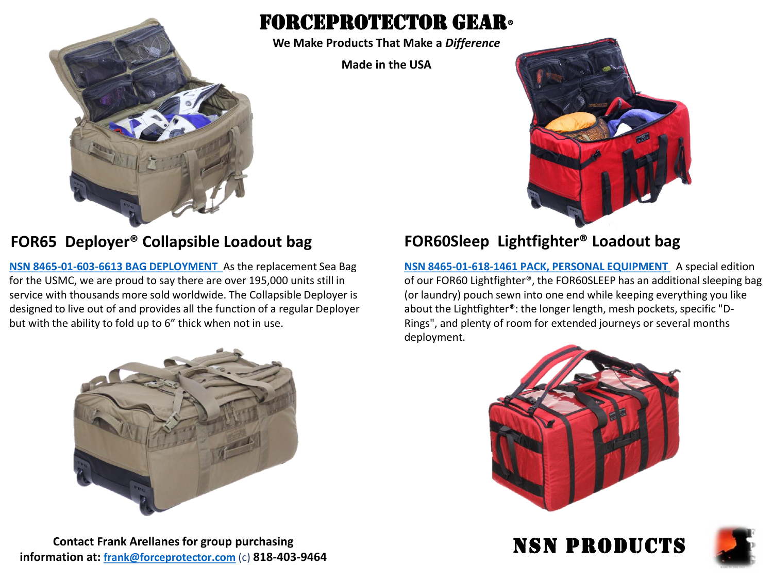

# forceprotector gear**®**

**We Make Products That Make a** *Difference*

**Made in the USA**



### **FOR65 Deployer® Collapsible Loadout bag FOR60Sleep Lightfighter® Loadout bag**

**[NSN 8465-01-603-6613 BAG DEPLOYMENT](https://www.forceprotector.com/fpg-online-store/Deployer%C2%AE-Collapsible-Loadout-Bag-p94798264)** As the replacement Sea Bag for the USMC, we are proud to say there are over 195,000 units still in service with thousands more sold worldwide. The Collapsible Deployer is designed to live out of and provides all the function of a regular Deployer but with the ability to fold up to 6" thick when not in use.



**[NSN 8465-01-618-1461 PACK, PERSONAL EQUIPMENT](https://www.forceprotector.com/fpg-online-store/Lightfighter%C2%AE-Sleep-Loadout-Bag-p94794478)** A special edition of our FOR60 Lightfighter®, the FOR60SLEEP has an additional sleeping bag (or laundry) pouch sewn into one end while keeping everything you like about the Lightfighter®: the longer length, mesh pockets, specific "D-Rings", and plenty of room for extended journeys or several months deployment.



NSN PRODUCTS

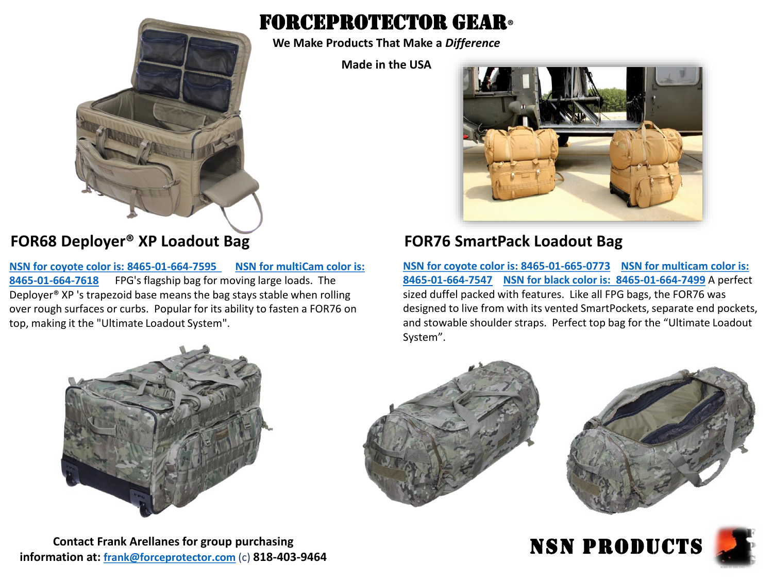

### **FOR68 Deployer® XP Loadout Bag FOR76 SmartPack Loadout Bag**

**[NSN for coyote color is: 8465-01-664-7595 NSN for multiCam color is:](https://www.forceprotector.com/fpg-online-store/Deployer%C2%AE-XP-Loadout-Bag-p94798832)  8465-01-664-7618** FPG's flagship bag for moving large loads. The Deployer® XP 's trapezoid base means the bag stays stable when rolling over rough surfaces or curbs. Popular for its ability to fasten a FOR76 on top, making it the "Ultimate Loadout System".



# forceprotector gear**®**

**We Make Products That Make a** *Difference*

**Made in the USA**



**[NSN for coyote color is: 8465-01-665-0773](https://www.forceprotector.com/fpg-online-store/SmartPack-Loadout-Bag-p94857825) NSN for multicam color is: 8465-01-664-7547 [NSN for black color is: 8465-01-664-7499](https://www.forceprotector.com/fpg-online-store/SmartPack-Loadout-Bag-p94857825)** A perfect sized duffel packed with features. Like all FPG bags, the FOR76 was designed to live from with its vented SmartPockets, separate end pockets, and stowable shoulder straps. Perfect top bag for the "Ultimate Loadout System".





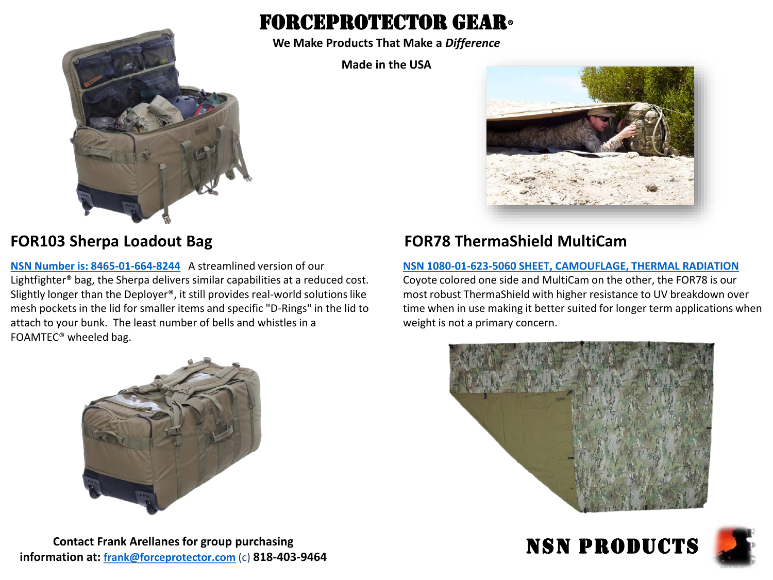# forceprotector gear**®**

**We Make Products That Make a** *Difference*

**Made in the USA**



**[NSN Number is: 8465-01-664-8244](https://www.forceprotector.com/fpg-online-store/Sherpa-Loadout-Bag-p94649707)** A streamlined version of our Lightfighter® bag, the Sherpa delivers similar capabilities at a reduced cost. Slightly longer than the Deployer®, it still provides real-world solutions like mesh pockets in the lid for smaller items and specific "D-Rings" in the lid to attach to your bunk. The least number of bells and whistles in a FOAMTEC® wheeled bag.



**Contact Frank Arellanes for group purchasing information at: [frank@forceprotector.com](mailto:frank@forceprotector.com)** (c) **818-403-9464**



## **FOR103 Sherpa Loadout Bag FOR78 ThermaShield MultiCam**

### **[NSN 1080-01-623-5060 SHEET, CAMOUFLAGE, THERMAL RADIATION](https://www.forceprotector.com/fpg-online-store/ThermaShield-MultiCam-p94899032)**

Coyote colored one side and MultiCam on the other, the FOR78 is our most robust ThermaShield with higher resistance to UV breakdown over time when in use making it better suited for longer term applications when weight is not a primary concern.